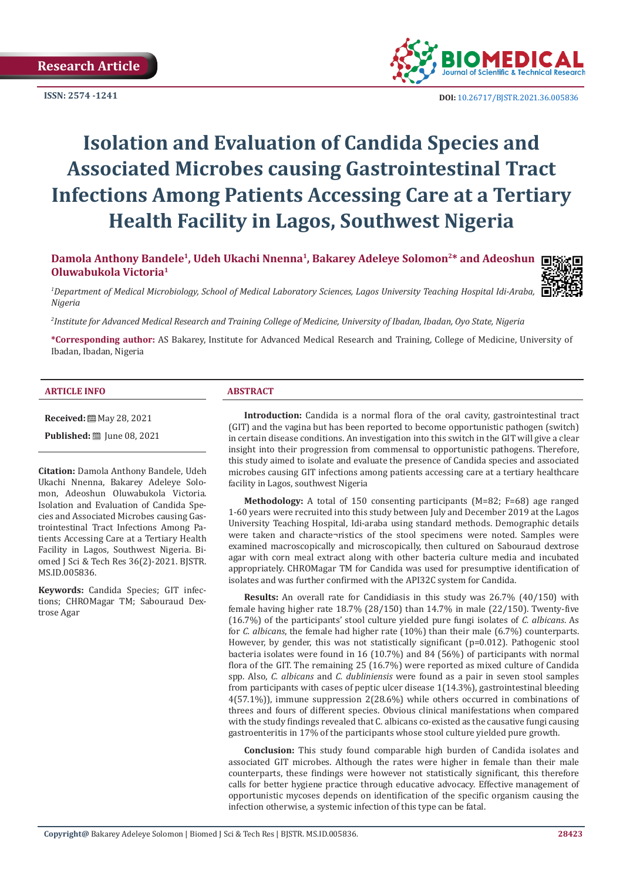**ISSN: 2574 -1241**



 **DOI:** [10.26717/BJSTR.2021.36.005836](https://dx.doi.org/10.26717/BJSTR.2021.36.005836)

# **Isolation and Evaluation of Candida Species and Associated Microbes causing Gastrointestinal Tract Infections Among Patients Accessing Care at a Tertiary Health Facility in Lagos, Southwest Nigeria**

Damola Anthony Bandele<sup>1</sup>, Udeh Ukachi Nnenna<sup>1</sup>, Bakarey Adeleye Solomon<sup>2\*</sup> and Adeoshun **Oluwabukola Victoria1**

*1 Department of Medical Microbiology, School of Medical Laboratory Sciences, Lagos University Teaching Hospital Idi-Araba, Nigeria*

*2 Institute for Advanced Medical Research and Training College of Medicine, University of Ibadan, Ibadan, Oyo State, Nigeria*

**\*Corresponding author:** AS Bakarey, Institute for Advanced Medical Research and Training, College of Medicine, University of Ibadan, Ibadan, Nigeria

#### **ARTICLE INFO ABSTRACT**

**Received:** 圖 May 28, 2021

**Published:** ■ June 08, 2021

**Citation:** Damola Anthony Bandele, Udeh Ukachi Nnenna, Bakarey Adeleye Solomon, Adeoshun Oluwabukola Victoria. Isolation and Evaluation of Candida Species and Associated Microbes causing Gastrointestinal Tract Infections Among Patients Accessing Care at a Tertiary Health Facility in Lagos, Southwest Nigeria. Biomed J Sci & Tech Res 36(2)-2021. BJSTR. MS.ID.005836.

**Keywords:** Candida Species; GIT infections; CHROMagar TM; Sabouraud Dextrose Agar

**Introduction:** Candida is a normal flora of the oral cavity, gastrointestinal tract (GIT) and the vagina but has been reported to become opportunistic pathogen (switch) in certain disease conditions. An investigation into this switch in the GIT will give a clear insight into their progression from commensal to opportunistic pathogens. Therefore, this study aimed to isolate and evaluate the presence of Candida species and associated microbes causing GIT infections among patients accessing care at a tertiary healthcare facility in Lagos, southwest Nigeria

**Methodology:** A total of 150 consenting participants (M=82; F=68) age ranged 1-60 years were recruited into this study between July and December 2019 at the Lagos University Teaching Hospital, Idi-araba using standard methods. Demographic details were taken and characte¬ristics of the stool specimens were noted. Samples were examined macroscopically and microscopically, then cultured on Sabouraud dextrose agar with corn meal extract along with other bacteria culture media and incubated appropriately. CHROMagar TM for Candida was used for presumptive identification of isolates and was further confirmed with the API32C system for Candida.

**Results:** An overall rate for Candidiasis in this study was 26.7% (40/150) with female having higher rate 18.7% (28/150) than 14.7% in male (22/150). Twenty-five (16.7%) of the participants' stool culture yielded pure fungi isolates of *C. albicans*. As for *C. albicans*, the female had higher rate (10%) than their male (6.7%) counterparts. However, by gender, this was not statistically significant (p=0.012). Pathogenic stool bacteria isolates were found in 16 (10.7%) and 84 (56%) of participants with normal flora of the GIT. The remaining 25 (16.7%) were reported as mixed culture of Candida spp. Also, *C. albicans* and *C. dubliniensis* were found as a pair in seven stool samples from participants with cases of peptic ulcer disease 1(14.3%), gastrointestinal bleeding 4(57.1%)), immune suppression 2(28.6%) while others occurred in combinations of threes and fours of different species. Obvious clinical manifestations when compared with the study findings revealed that C. albicans co-existed as the causative fungi causing gastroenteritis in 17% of the participants whose stool culture yielded pure growth.

**Conclusion:** This study found comparable high burden of Candida isolates and associated GIT microbes. Although the rates were higher in female than their male counterparts, these findings were however not statistically significant, this therefore calls for better hygiene practice through educative advocacy. Effective management of opportunistic mycoses depends on identification of the specific organism causing the infection otherwise, a systemic infection of this type can be fatal.

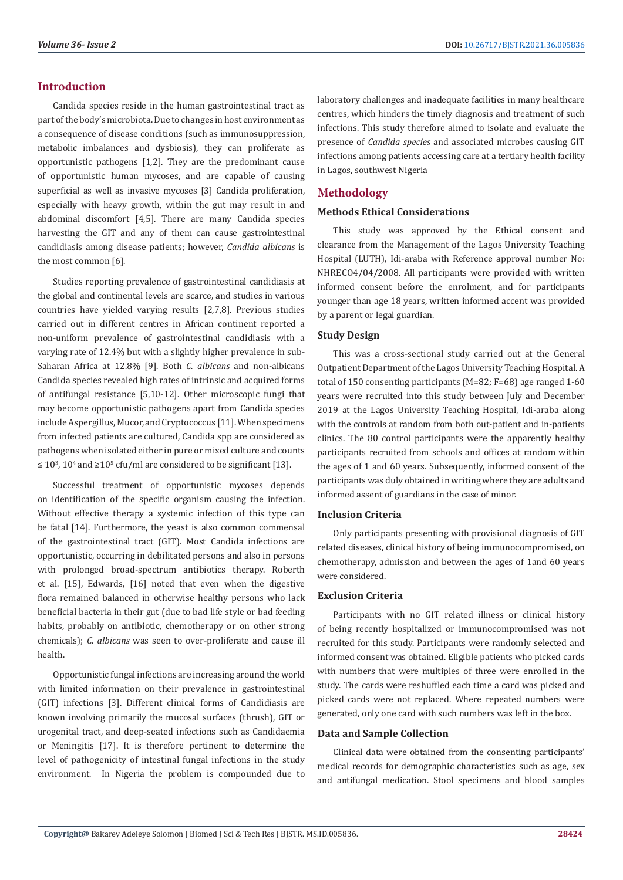# **Introduction**

Candida species reside in the human gastrointestinal tract as part of the body's microbiota. Due to changes in host environment as a consequence of disease conditions (such as immunosuppression, metabolic imbalances and dysbiosis), they can proliferate as opportunistic pathogens [1,2]. They are the predominant cause of opportunistic human mycoses, and are capable of causing superficial as well as invasive mycoses [3] Candida proliferation, especially with heavy growth, within the gut may result in and abdominal discomfort [4,5]. There are many Candida species harvesting the GIT and any of them can cause gastrointestinal candidiasis among disease patients; however, *Candida albicans* is the most common [6].

Studies reporting prevalence of gastrointestinal candidiasis at the global and continental levels are scarce, and studies in various countries have yielded varying results [2,7,8]. Previous studies carried out in different centres in African continent reported a non-uniform prevalence of gastrointestinal candidiasis with a varying rate of 12.4% but with a slightly higher prevalence in sub-Saharan Africa at 12.8% [9]. Both *C. albicans* and non-albicans Candida species revealed high rates of intrinsic and acquired forms of antifungal resistance [5,10-12]. Other microscopic fungi that may become opportunistic pathogens apart from Candida species include Aspergillus, Mucor, and Cryptococcus [11]. When specimens from infected patients are cultured, Candida spp are considered as pathogens when isolated either in pure or mixed culture and counts ≤ 10<sup>3</sup>, 10<sup>4</sup> and ≥10<sup>5</sup> cfu/ml are considered to be significant [13].

Successful treatment of opportunistic mycoses depends on identification of the specific organism causing the infection. Without effective therapy a systemic infection of this type can be fatal [14]. Furthermore, the yeast is also common commensal of the gastrointestinal tract (GIT). Most Candida infections are opportunistic, occurring in debilitated persons and also in persons with prolonged broad-spectrum antibiotics therapy. Roberth et al. [15], Edwards, [16] noted that even when the digestive flora remained balanced in otherwise healthy persons who lack beneficial bacteria in their gut (due to bad life style or bad feeding habits, probably on antibiotic, chemotherapy or on other strong chemicals); *C. albicans* was seen to over-proliferate and cause ill health.

Opportunistic fungal infections are increasing around the world with limited information on their prevalence in gastrointestinal (GIT) infections [3]. Different clinical forms of Candidiasis are known involving primarily the mucosal surfaces (thrush), GIT or urogenital tract, and deep-seated infections such as Candidaemia or Meningitis [17]. It is therefore pertinent to determine the level of pathogenicity of intestinal fungal infections in the study environment. In Nigeria the problem is compounded due to

laboratory challenges and inadequate facilities in many healthcare centres, which hinders the timely diagnosis and treatment of such infections. This study therefore aimed to isolate and evaluate the presence of *Candida species* and associated microbes causing GIT infections among patients accessing care at a tertiary health facility in Lagos, southwest Nigeria

# **Methodology**

## **Methods Ethical Considerations**

This study was approved by the Ethical consent and clearance from the Management of the Lagos University Teaching Hospital (LUTH), Idi-araba with Reference approval number No: NHRECO4/04/2008. All participants were provided with written informed consent before the enrolment, and for participants younger than age 18 years, written informed accent was provided by a parent or legal guardian.

## **Study Design**

This was a cross-sectional study carried out at the General Outpatient Department of the Lagos University Teaching Hospital. A total of 150 consenting participants (M=82; F=68) age ranged 1-60 years were recruited into this study between July and December 2019 at the Lagos University Teaching Hospital, Idi-araba along with the controls at random from both out-patient and in-patients clinics. The 80 control participants were the apparently healthy participants recruited from schools and offices at random within the ages of 1 and 60 years. Subsequently, informed consent of the participants was duly obtained in writing where they are adults and informed assent of guardians in the case of minor.

## **Inclusion Criteria**

Only participants presenting with provisional diagnosis of GIT related diseases, clinical history of being immunocompromised, on chemotherapy, admission and between the ages of 1and 60 years were considered.

## **Exclusion Criteria**

Participants with no GIT related illness or clinical history of being recently hospitalized or immunocompromised was not recruited for this study. Participants were randomly selected and informed consent was obtained. Eligible patients who picked cards with numbers that were multiples of three were enrolled in the study. The cards were reshuffled each time a card was picked and picked cards were not replaced. Where repeated numbers were generated, only one card with such numbers was left in the box.

## **Data and Sample Collection**

Clinical data were obtained from the consenting participants' medical records for demographic characteristics such as age, sex and antifungal medication. Stool specimens and blood samples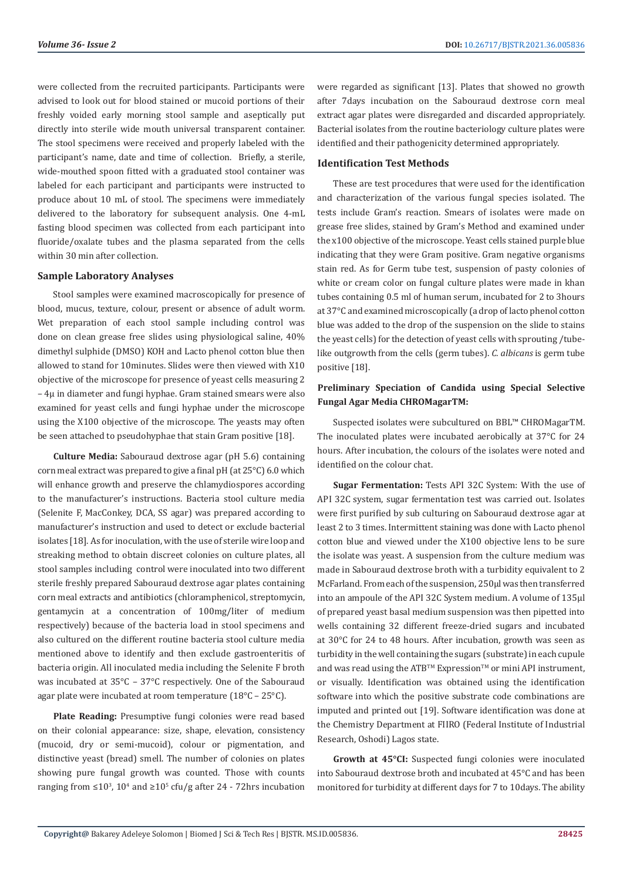were collected from the recruited participants. Participants were advised to look out for blood stained or mucoid portions of their freshly voided early morning stool sample and aseptically put directly into sterile wide mouth universal transparent container. The stool specimens were received and properly labeled with the participant's name, date and time of collection. Briefly, a sterile, wide-mouthed spoon fitted with a graduated stool container was labeled for each participant and participants were instructed to produce about 10 mL of stool. The specimens were immediately delivered to the laboratory for subsequent analysis. One 4-mL fasting blood specimen was collected from each participant into fluoride/oxalate tubes and the plasma separated from the cells within 30 min after collection.

#### **Sample Laboratory Analyses**

Stool samples were examined macroscopically for presence of blood, mucus, texture, colour, present or absence of adult worm. Wet preparation of each stool sample including control was done on clean grease free slides using physiological saline, 40% dimethyl sulphide (DMSO) KOH and Lacto phenol cotton blue then allowed to stand for 10minutes. Slides were then viewed with X10 objective of the microscope for presence of yeast cells measuring 2 – 4µ in diameter and fungi hyphae. Gram stained smears were also examined for yeast cells and fungi hyphae under the microscope using the X100 objective of the microscope. The yeasts may often be seen attached to pseudohyphae that stain Gram positive [18].

**Culture Media:** Sabouraud dextrose agar (pH 5.6) containing corn meal extract was prepared to give a final pH (at 25°C) 6.0 which will enhance growth and preserve the chlamydiospores according to the manufacturer's instructions. Bacteria stool culture media (Selenite F, MacConkey, DCA, SS agar) was prepared according to manufacturer's instruction and used to detect or exclude bacterial isolates [18]. As for inoculation, with the use of sterile wire loop and streaking method to obtain discreet colonies on culture plates, all stool samples including control were inoculated into two different sterile freshly prepared Sabouraud dextrose agar plates containing corn meal extracts and antibiotics (chloramphenicol, streptomycin, gentamycin at a concentration of 100mg/liter of medium respectively) because of the bacteria load in stool specimens and also cultured on the different routine bacteria stool culture media mentioned above to identify and then exclude gastroenteritis of bacteria origin. All inoculated media including the Selenite F broth was incubated at 35°C – 37°C respectively. One of the Sabouraud agar plate were incubated at room temperature (18°C – 25°C).

**Plate Reading:** Presumptive fungi colonies were read based on their colonial appearance: size, shape, elevation, consistency (mucoid, dry or semi-mucoid), colour or pigmentation, and distinctive yeast (bread) smell. The number of colonies on plates showing pure fungal growth was counted. Those with counts ranging from  $\leq 10^3$ , 10<sup>4</sup> and  $\geq 10^5$  cfu/g after 24 - 72hrs incubation were regarded as significant [13]. Plates that showed no growth after 7days incubation on the Sabouraud dextrose corn meal extract agar plates were disregarded and discarded appropriately. Bacterial isolates from the routine bacteriology culture plates were identified and their pathogenicity determined appropriately.

#### **Identification Test Methods**

These are test procedures that were used for the identification and characterization of the various fungal species isolated. The tests include Gram's reaction. Smears of isolates were made on grease free slides, stained by Gram's Method and examined under the x100 objective of the microscope. Yeast cells stained purple blue indicating that they were Gram positive. Gram negative organisms stain red. As for Germ tube test, suspension of pasty colonies of white or cream color on fungal culture plates were made in khan tubes containing 0.5 ml of human serum, incubated for 2 to 3hours at 37°C and examined microscopically (a drop of lacto phenol cotton blue was added to the drop of the suspension on the slide to stains the yeast cells) for the detection of yeast cells with sprouting /tubelike outgrowth from the cells (germ tubes). *C. albicans* is germ tube positive [18].

# **Preliminary Speciation of Candida using Special Selective Fungal Agar Media CHROMagarTM:**

Suspected isolates were subcultured on BBL™ CHROMagarTM. The inoculated plates were incubated aerobically at 37°C for 24 hours. After incubation, the colours of the isolates were noted and identified on the colour chat.

**Sugar Fermentation:** Tests API 32C System: With the use of API 32C system, sugar fermentation test was carried out. Isolates were first purified by sub culturing on Sabouraud dextrose agar at least 2 to 3 times. Intermittent staining was done with Lacto phenol cotton blue and viewed under the X100 objective lens to be sure the isolate was yeast. A suspension from the culture medium was made in Sabouraud dextrose broth with a turbidity equivalent to 2 McFarland. From each of the suspension, 250µl was then transferred into an ampoule of the API 32C System medium. A volume of 135µl of prepared yeast basal medium suspension was then pipetted into wells containing 32 different freeze-dried sugars and incubated at 30°C for 24 to 48 hours. After incubation, growth was seen as turbidity in the well containing the sugars (substrate) in each cupule and was read using the ATB™ Expression™ or mini API instrument, or visually. Identification was obtained using the identification software into which the positive substrate code combinations are imputed and printed out [19]. Software identification was done at the Chemistry Department at FIIRO (Federal Institute of Industrial Research, Oshodi) Lagos state.

**Growth at 45°CI:** Suspected fungi colonies were inoculated into Sabouraud dextrose broth and incubated at 45°C and has been monitored for turbidity at different days for 7 to 10days. The ability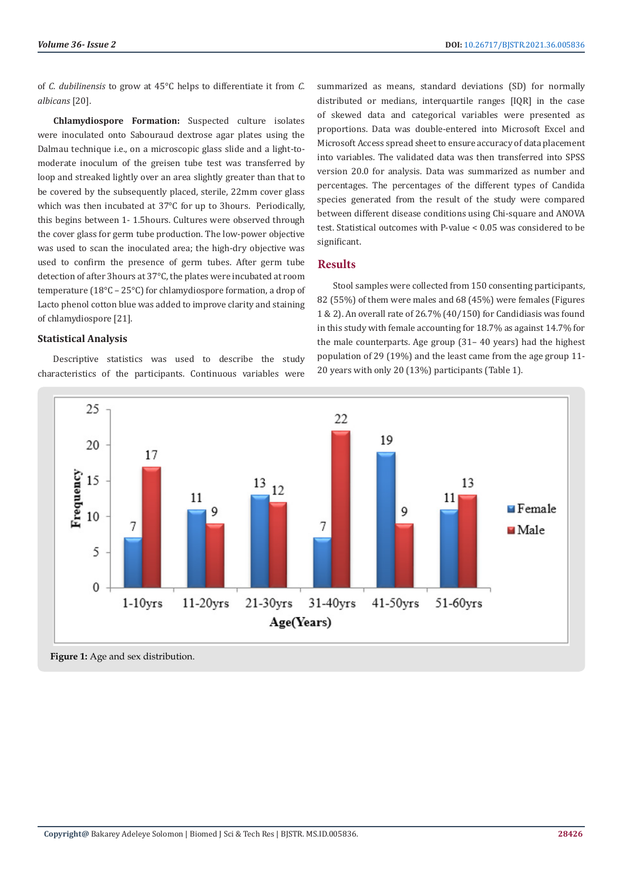of *C. dubilinensis* to grow at 45°C helps to differentiate it from *C. albicans* [20].

**Chlamydiospore Formation:** Suspected culture isolates were inoculated onto Sabouraud dextrose agar plates using the Dalmau technique i.e., on a microscopic glass slide and a light-tomoderate inoculum of the greisen tube test was transferred by loop and streaked lightly over an area slightly greater than that to be covered by the subsequently placed, sterile, 22mm cover glass which was then incubated at 37°C for up to 3hours. Periodically, this begins between 1- 1.5hours. Cultures were observed through the cover glass for germ tube production. The low-power objective was used to scan the inoculated area; the high-dry objective was used to confirm the presence of germ tubes. After germ tube detection of after 3hours at 37°C, the plates were incubated at room temperature (18°C – 25°C) for chlamydiospore formation, a drop of Lacto phenol cotton blue was added to improve clarity and staining of chlamydiospore [21].

## **Statistical Analysis**

Descriptive statistics was used to describe the study characteristics of the participants. Continuous variables were summarized as means, standard deviations (SD) for normally distributed or medians, interquartile ranges [IQR] in the case of skewed data and categorical variables were presented as proportions. Data was double-entered into Microsoft Excel and Microsoft Access spread sheet to ensure accuracy of data placement into variables. The validated data was then transferred into SPSS version 20.0 for analysis. Data was summarized as number and percentages. The percentages of the different types of Candida species generated from the result of the study were compared between different disease conditions using Chi-square and ANOVA test. Statistical outcomes with P-value < 0.05 was considered to be significant.

## **Results**

Stool samples were collected from 150 consenting participants, 82 (55%) of them were males and 68 (45%) were females (Figures 1 & 2). An overall rate of 26.7% (40/150) for Candidiasis was found in this study with female accounting for 18.7% as against 14.7% for the male counterparts. Age group (31– 40 years) had the highest population of 29 (19%) and the least came from the age group 11- 20 years with only 20 (13%) participants (Table 1).



**Figure 1:** Age and sex distribution.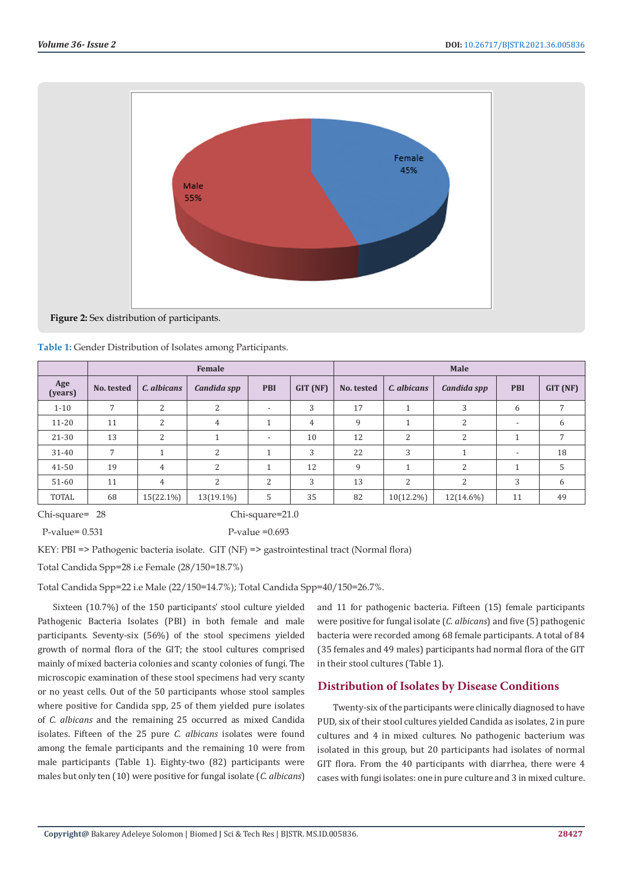

|  |  | Table 1: Gender Distribution of Isolates among Participants. |  |  |  |
|--|--|--------------------------------------------------------------|--|--|--|
|  |  |                                                              |  |  |  |

|                |            |                | Female         |                          | Male           |            |                |                |                          |          |
|----------------|------------|----------------|----------------|--------------------------|----------------|------------|----------------|----------------|--------------------------|----------|
| Age<br>(years) | No. tested | C. albicans    | Candida spp    | <b>PBI</b>               | GIT (NF)       | No. tested | C. albicans    | Candida spp    | <b>PBI</b>               | GIT (NF) |
| $1 - 10$       | 7          | 2              | 2              | $\overline{\phantom{a}}$ | 3              | 17         | -1             | 3              | 6                        | 7        |
| $11 - 20$      | 11         | 2              | $\overline{4}$ |                          | $\overline{4}$ | 9          |                | 2              | $\overline{\phantom{a}}$ | 6        |
| $21 - 30$      | 13         | $\overline{a}$ |                | $\overline{\phantom{0}}$ | 10             | 12         | $\overline{2}$ | 2              | $\overline{ }$           | 7        |
| $31 - 40$      | 7          |                | 2              |                          | 3              | 22         | 3              | 1              | $\overline{\phantom{a}}$ | 18       |
| $41 - 50$      | 19         | $\overline{4}$ | 2              | $\blacktriangleleft$     | 12             | 9          | $\mathbf{1}$   | $\overline{c}$ | $\overline{ }$           | 5        |
| $51-60$        | 11         | 4              | $\overline{2}$ | $\overline{2}$           | 3              | 13         | $\overline{2}$ | 2              | 3                        | 6        |
| TOTAL          | 68         | $15(22.1\%)$   | $13(19.1\%)$   | 5                        | 35             | 82         | $10(12.2\%)$   | 12(14.6%)      | 11                       | 49       |

Chi-square= 28 Chi-square=21.0

P-value= 0.531 P-value =0.693

KEY: PBI => Pathogenic bacteria isolate. GIT (NF) => gastrointestinal tract (Normal flora)

Total Candida Spp=28 i.e Female (28/150=18.7%)

Total Candida Spp=22 i.e Male (22/150=14.7%); Total Candida Spp=40/150=26.7%.

Sixteen (10.7%) of the 150 participants' stool culture yielded Pathogenic Bacteria Isolates (PBI) in both female and male participants. Seventy-six (56%) of the stool specimens yielded growth of normal flora of the GIT; the stool cultures comprised mainly of mixed bacteria colonies and scanty colonies of fungi. The microscopic examination of these stool specimens had very scanty or no yeast cells. Out of the 50 participants whose stool samples where positive for Candida spp, 25 of them yielded pure isolates of *C. albicans* and the remaining 25 occurred as mixed Candida isolates. Fifteen of the 25 pure *C. albicans* isolates were found among the female participants and the remaining 10 were from male participants (Table 1). Eighty-two (82) participants were males but only ten (10) were positive for fungal isolate (*C. albicans*)

and 11 for pathogenic bacteria. Fifteen (15) female participants were positive for fungal isolate (*C. albicans*) and five (5) pathogenic bacteria were recorded among 68 female participants. A total of 84 (35 females and 49 males) participants had normal flora of the GIT in their stool cultures (Table 1).

# **Distribution of Isolates by Disease Conditions**

Twenty-six of the participants were clinically diagnosed to have PUD, six of their stool cultures yielded Candida as isolates, 2 in pure cultures and 4 in mixed cultures. No pathogenic bacterium was isolated in this group, but 20 participants had isolates of normal GIT flora. From the 40 participants with diarrhea, there were 4 cases with fungi isolates: one in pure culture and 3 in mixed culture.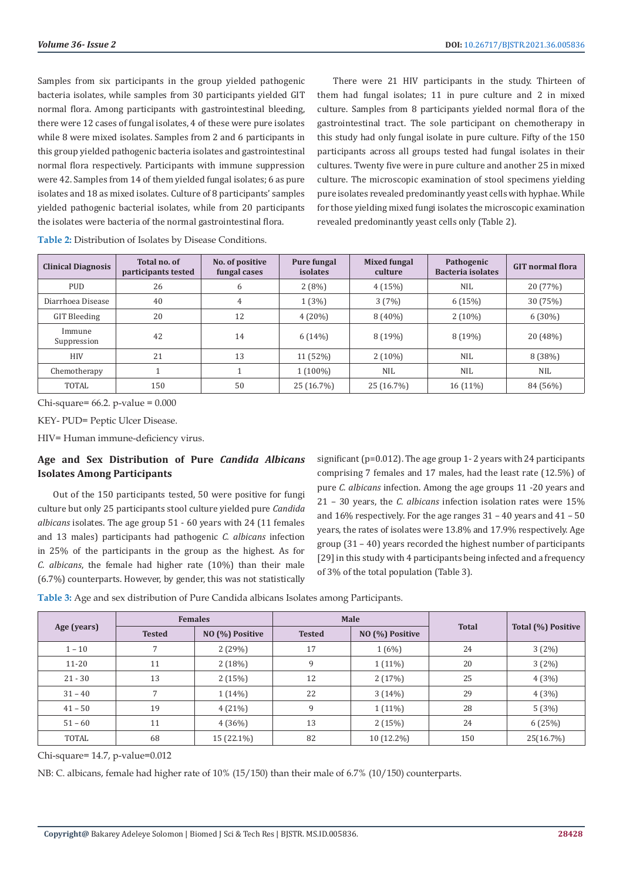Samples from six participants in the group yielded pathogenic bacteria isolates, while samples from 30 participants yielded GIT normal flora. Among participants with gastrointestinal bleeding, there were 12 cases of fungal isolates, 4 of these were pure isolates while 8 were mixed isolates. Samples from 2 and 6 participants in this group yielded pathogenic bacteria isolates and gastrointestinal normal flora respectively. Participants with immune suppression were 42. Samples from 14 of them yielded fungal isolates; 6 as pure isolates and 18 as mixed isolates. Culture of 8 participants' samples yielded pathogenic bacterial isolates, while from 20 participants the isolates were bacteria of the normal gastrointestinal flora.

There were 21 HIV participants in the study. Thirteen of them had fungal isolates; 11 in pure culture and 2 in mixed culture. Samples from 8 participants yielded normal flora of the gastrointestinal tract. The sole participant on chemotherapy in this study had only fungal isolate in pure culture. Fifty of the 150 participants across all groups tested had fungal isolates in their cultures. Twenty five were in pure culture and another 25 in mixed culture. The microscopic examination of stool specimens yielding pure isolates revealed predominantly yeast cells with hyphae. While for those yielding mixed fungi isolates the microscopic examination revealed predominantly yeast cells only (Table 2).

| <b>Clinical Diagnosis</b> | Total no. of<br>participants tested | No. of positive<br>fungal cases | <b>Pure fungal</b><br>isolates | <b>Mixed fungal</b><br>culture | Pathogenic<br><b>Bacteria</b> isolates | <b>GIT</b> normal flora |
|---------------------------|-------------------------------------|---------------------------------|--------------------------------|--------------------------------|----------------------------------------|-------------------------|
| <b>PUD</b>                | 26                                  | 6                               | 2(8%)                          | 4(15%)                         | <b>NIL</b>                             | 20 (77%)                |
| Diarrhoea Disease         | 40                                  | 4                               | 1(3%)                          | 3(7%)<br>6(15%)                |                                        | 30 (75%)                |
| GIT Bleeding              | 20                                  | 12                              | $4(20\%)$                      | $2(10\%)$<br>$8(40\%)$         |                                        | $6(30\%)$               |
| Immune<br>Suppression     | 42                                  | 14                              | 6(14%)                         | 8(19%)                         | 8(19%)                                 | 20 (48%)                |
| <b>HIV</b>                | 21                                  | 13                              | 11 (52%)                       | $2(10\%)$                      | <b>NIL</b>                             | 8(38%)                  |
| Chemotherapy              |                                     |                                 | $1(100\%)$                     | <b>NIL</b>                     | <b>NIL</b>                             | <b>NIL</b>              |
| <b>TOTAL</b>              | 150                                 | 50                              | 25 (16.7%)                     | 25 (16.7%)                     | 16 (11%)                               | 84 (56%)                |

**Table 2:** Distribution of Isolates by Disease Conditions.

Chi-square=  $66.2$ . p-value =  $0.000$ 

KEY- PUD= Peptic Ulcer Disease.

HIV= Human immune-deficiency virus.

# **Age and Sex Distribution of Pure** *Candida Albicans* **Isolates Among Participants**

Out of the 150 participants tested, 50 were positive for fungi culture but only 25 participants stool culture yielded pure *Candida albicans* isolates. The age group 51 - 60 years with 24 (11 females and 13 males) participants had pathogenic *C. albicans* infection in 25% of the participants in the group as the highest. As for *C. albicans*, the female had higher rate (10%) than their male (6.7%) counterparts. However, by gender, this was not statistically

significant (p=0.012). The age group 1- 2 years with 24 participants comprising 7 females and 17 males, had the least rate (12.5%) of pure *C. albicans* infection. Among the age groups 11 -20 years and 21 – 30 years, the *C. albicans* infection isolation rates were 15% and 16% respectively. For the age ranges 31 – 40 years and 41 – 50 years, the rates of isolates were 13.8% and 17.9% respectively. Age group (31 – 40) years recorded the highest number of participants [29] in this study with 4 participants being infected and a frequency of 3% of the total population (Table 3).

**Table 3:** Age and sex distribution of Pure Candida albicans Isolates among Participants.

|             | <b>Females</b> |                 |               | Male            |              |                    |  |
|-------------|----------------|-----------------|---------------|-----------------|--------------|--------------------|--|
| Age (years) | <b>Tested</b>  | NO (%) Positive | <b>Tested</b> | NO (%) Positive | <b>Total</b> | Total (%) Positive |  |
| $1 - 10$    |                | 2(29%)          | 17            | 1(6%)           | 24           | $3(2\%)$           |  |
| $11 - 20$   | 11             | 2(18%)          | 9             | $1(11\%)$       | 20           | $3(2\%)$           |  |
| $21 - 30$   | 13             | 2(15%)          | 12            | 2(17%)          | 25           | 4(3%)              |  |
| $31 - 40$   |                | 1(14%)          | 22            | 3(14%)          | 29           | 4(3%)              |  |
| $41 - 50$   | 19             | 4(21%)          | 9             | $1(11\%)$       | 28           | 5(3%)              |  |
| $51 - 60$   | 11             | 4(36%)          | 13            | 2(15%)          | 24           | 6(25%)             |  |
| TOTAL       | 68             | 15 (22.1%)      | 82            | 10 (12.2%)      | 150          | 25(16.7%)          |  |

Chi-square= 14.7, p-value=0.012

NB: C. albicans, female had higher rate of 10% (15/150) than their male of 6.7% (10/150) counterparts.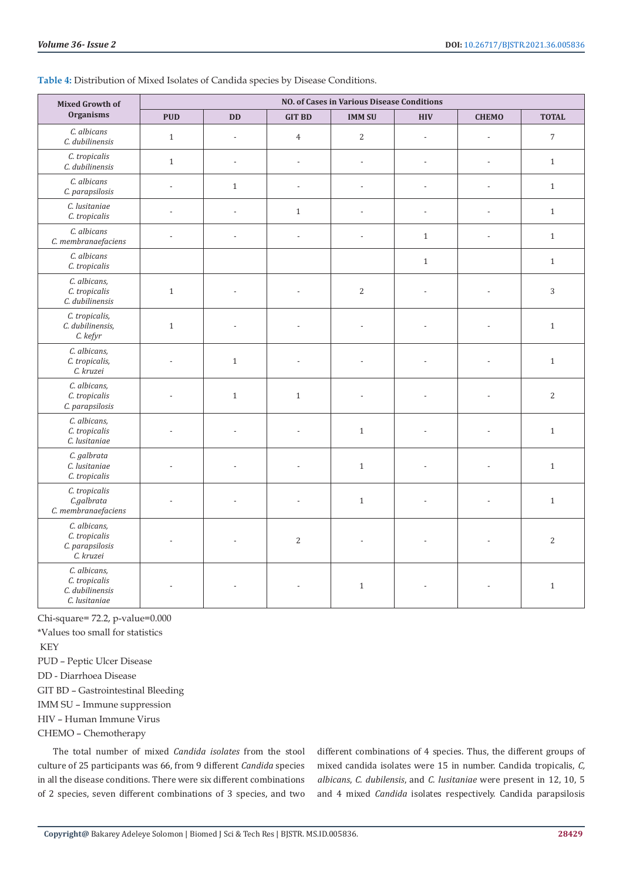**Table 4:** Distribution of Mixed Isolates of Candida species by Disease Conditions.

| <b>Mixed Growth of</b>                                            | NO. of Cases in Various Disease Conditions |                          |                |                          |                          |                |              |  |  |  |
|-------------------------------------------------------------------|--------------------------------------------|--------------------------|----------------|--------------------------|--------------------------|----------------|--------------|--|--|--|
| <b>Organisms</b>                                                  | <b>PUD</b>                                 | <b>DD</b>                | <b>GIT BD</b>  | <b>IMM SU</b>            | <b>HIV</b>               | <b>CHEMO</b>   | <b>TOTAL</b> |  |  |  |
| C. albicans<br>C. dubilinensis                                    | $\,1\,$                                    | $\overline{a}$           | $\overline{4}$ | $\sqrt{2}$               | $\overline{a}$           | L,             | $\sqrt{ }$   |  |  |  |
| C. tropicalis<br>C. dubilinensis                                  | $1\,$                                      | $\overline{\phantom{a}}$ | $\overline{a}$ | $\overline{\phantom{a}}$ | $\overline{\phantom{a}}$ | $\overline{a}$ | $1\,$        |  |  |  |
| C. albicans<br>C. parapsilosis                                    | $\overline{a}$                             | $\mathbf{1}$             | $\overline{a}$ | $\overline{a}$           |                          | L              | $\,1\,$      |  |  |  |
| C. lusitaniae<br>C. tropicalis                                    | $\overline{\phantom{a}}$                   | $\overline{a}$           | $\mathbf{1}$   | $\overline{a}$           | $\overline{a}$           | $\overline{a}$ | $\,1\,$      |  |  |  |
| C. albicans<br>C. membranaefaciens                                | $\overline{a}$                             |                          | $\overline{a}$ | $\overline{a}$           | $\mathbf{1}$             | $\overline{a}$ | $\,1\,$      |  |  |  |
| C. albicans<br>C. tropicalis                                      |                                            |                          |                |                          | $\mathbf{1}$             |                | $\mathbf{1}$ |  |  |  |
| C. albicans,<br>C. tropicalis<br>C. dubilinensis                  | $\,1\,$                                    |                          |                | $\overline{2}$           |                          |                | 3            |  |  |  |
| C. tropicalis,<br>C. dubilinensis,<br>C. kefyr                    | $\,1\,$                                    |                          |                | $\overline{a}$           |                          |                | $\,1\,$      |  |  |  |
| C. albicans,<br>C. tropicalis,<br>C. kruzei                       |                                            | $\mathbf{1}$             |                |                          |                          |                | $\mathbf{1}$ |  |  |  |
| C. albicans,<br>C. tropicalis<br>C. parapsilosis                  |                                            | $\,1\,$                  | $\,1\,$        |                          |                          |                | $\sqrt{2}$   |  |  |  |
| C. albicans,<br>C. tropicalis<br>C. lusitaniae                    | $\overline{a}$                             |                          |                | $\,1\,$                  |                          |                | $\,1\,$      |  |  |  |
| C. galbrata<br>C. lusitaniae<br>C. tropicalis                     | $\overline{a}$                             |                          |                | $\,1\,$                  |                          |                | $1\,$        |  |  |  |
| C. tropicalis<br>C.galbrata<br>C. membranaefaciens                | $\overline{a}$                             |                          |                | $1\,$                    |                          |                | $1\,$        |  |  |  |
| C. albicans,<br>C. tropicalis<br>C. parapsilosis<br>C. kruzei     | $\overline{a}$                             |                          | $\sqrt{2}$     | $\overline{a}$           |                          |                | $\sqrt{2}$   |  |  |  |
| C. albicans,<br>C. tropicalis<br>C. dubilinensis<br>C. lusitaniae |                                            |                          |                | $1\,$                    |                          |                | $1\,$        |  |  |  |

Chi-square= 72.2, p-value=0.000 \*Values too small for statistics

 KEY PUD – Peptic Ulcer Disease

DD - Diarrhoea Disease

GIT BD – Gastrointestinal Bleeding

IMM SU – Immune suppression

HIV – Human Immune Virus

CHEMO – Chemotherapy

The total number of mixed *Candida isolates* from the stool culture of 25 participants was 66, from 9 different *Candida* species in all the disease conditions. There were six different combinations of 2 species, seven different combinations of 3 species, and two

different combinations of 4 species. Thus, the different groups of mixed candida isolates were 15 in number. Candida tropicalis, *C, albicans*, *C. dubilensis*, and *C. lusitaniae* were present in 12, 10, 5 and 4 mixed *Candida* isolates respectively. Candida parapsilosis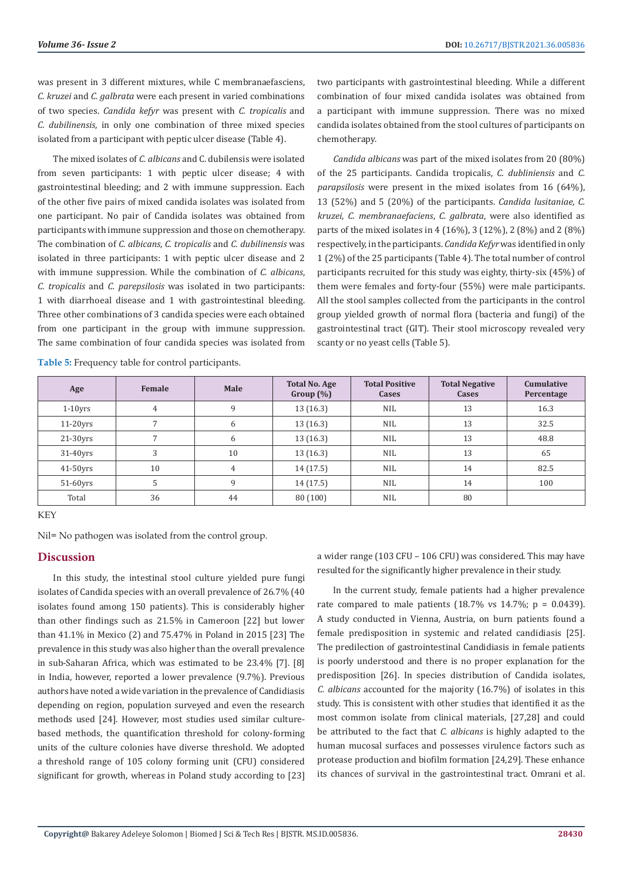was present in 3 different mixtures, while C membranaefasciens, *C. kruzei* and *C. galbrata* were each present in varied combinations of two species. *Candida kefyr* was present with *C. tropicalis* and *C. dubilinensis*, in only one combination of three mixed species isolated from a participant with peptic ulcer disease (Table 4).

The mixed isolates of *C. albicans* and C. dubilensis were isolated from seven participants: 1 with peptic ulcer disease; 4 with gastrointestinal bleeding; and 2 with immune suppression. Each of the other five pairs of mixed candida isolates was isolated from one participant. No pair of Candida isolates was obtained from participants with immune suppression and those on chemotherapy. The combination of *C. albicans*, *C. tropicalis* and *C. dubilinensis* was isolated in three participants: 1 with peptic ulcer disease and 2 with immune suppression. While the combination of *C. albicans*, *C. tropicalis* and *C. parepsilosis* was isolated in two participants: 1 with diarrhoeal disease and 1 with gastrointestinal bleeding. Three other combinations of 3 candida species were each obtained from one participant in the group with immune suppression. The same combination of four candida species was isolated from

two participants with gastrointestinal bleeding. While a different combination of four mixed candida isolates was obtained from a participant with immune suppression. There was no mixed candida isolates obtained from the stool cultures of participants on chemotherapy.

*Candida albicans* was part of the mixed isolates from 20 (80%) of the 25 participants. Candida tropicalis, *C. dubliniensis* and *C. parapsilosis* were present in the mixed isolates from 16 (64%), 13 (52%) and 5 (20%) of the participants. *Candida lusitaniae*, *C. kruzei*, *C. membranaefaciens*, *C. galbrata*, were also identified as parts of the mixed isolates in 4 (16%), 3 (12%), 2 (8%) and 2 (8%) respectively, in the participants. *Candida Kefyr* was identified in only 1 (2%) of the 25 participants (Table 4). The total number of control participants recruited for this study was eighty, thirty-six (45%) of them were females and forty-four (55%) were male participants. All the stool samples collected from the participants in the control group yielded growth of normal flora (bacteria and fungi) of the gastrointestinal tract (GIT). Their stool microscopy revealed very scanty or no yeast cells (Table 5).

**Age Female Male Total No. Age Group (%) Total Positive Cases Total Negative Cases Cumulative Percentage** 1-10yrs | 4 | 9 | 13 $(16.3)$  | NIL | 13 | 16.3 11-20yrs | 7 | 6 | 13 $(16.3)$  | NIL | 13 | 32.5 21-30yrs | 7 | 6 | 13(16.3) | NIL | 13 | 48.8 31-40yrs | 3 | 10 | 13 $(16.3)$  | NIL | 13 | 65 41-50yrs | 10 | 4 | 14 (17.5) | NIL | 14 | 82.5 51-60yrs | 5 | 9 | 14 (17.5) | NIL | 14 | 100 Total 36 44 80 (100) NIL 80

#### **KEY**

Nil= No pathogen was isolated from the control group.

Table 5: Frequency table for control participants.

## **Discussion**

In this study, the intestinal stool culture yielded pure fungi isolates of Candida species with an overall prevalence of 26.7% (40 isolates found among 150 patients). This is considerably higher than other findings such as 21.5% in Cameroon [22] but lower than 41.1% in Mexico (2) and 75.47% in Poland in 2015 [23] The prevalence in this study was also higher than the overall prevalence in sub-Saharan Africa, which was estimated to be 23.4% [7]. [8] in India, however, reported a lower prevalence (9.7%). Previous authors have noted a wide variation in the prevalence of Candidiasis depending on region, population surveyed and even the research methods used [24]. However, most studies used similar culturebased methods, the quantification threshold for colony-forming units of the culture colonies have diverse threshold. We adopted a threshold range of 105 colony forming unit (CFU) considered significant for growth, whereas in Poland study according to [23]

a wider range (103 CFU – 106 CFU) was considered. This may have resulted for the significantly higher prevalence in their study.

In the current study, female patients had a higher prevalence rate compared to male patients  $(18.7\% \text{ vs } 14.7\%; \text{ p} = 0.0439).$ A study conducted in Vienna, Austria, on burn patients found a female predisposition in systemic and related candidiasis [25]. The predilection of gastrointestinal Candidiasis in female patients is poorly understood and there is no proper explanation for the predisposition [26]. In species distribution of Candida isolates, *C. albicans* accounted for the majority (16.7%) of isolates in this study. This is consistent with other studies that identified it as the most common isolate from clinical materials, [27,28] and could be attributed to the fact that *C. albicans* is highly adapted to the human mucosal surfaces and possesses virulence factors such as protease production and biofilm formation [24,29]. These enhance its chances of survival in the gastrointestinal tract. Omrani et al.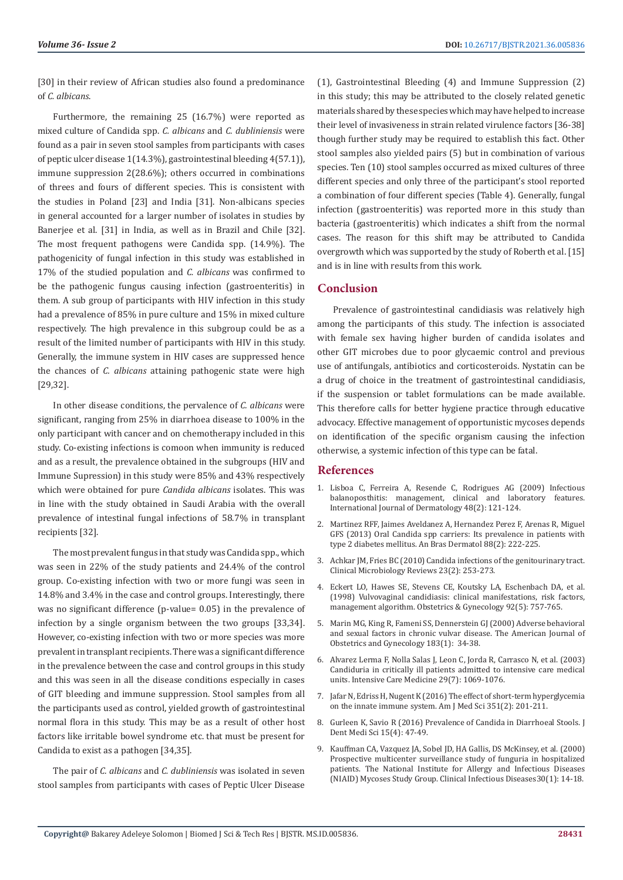[30] in their review of African studies also found a predominance of *C. albicans*.

Furthermore, the remaining 25 (16.7%) were reported as mixed culture of Candida spp. *C. albicans* and *C. dubliniensis* were found as a pair in seven stool samples from participants with cases of peptic ulcer disease 1(14.3%), gastrointestinal bleeding 4(57.1)), immune suppression 2(28.6%); others occurred in combinations of threes and fours of different species. This is consistent with the studies in Poland [23] and India [31]. Non-albicans species in general accounted for a larger number of isolates in studies by Banerjee et al. [31] in India, as well as in Brazil and Chile [32]. The most frequent pathogens were Candida spp. (14.9%). The pathogenicity of fungal infection in this study was established in 17% of the studied population and *C. albicans* was confirmed to be the pathogenic fungus causing infection (gastroenteritis) in them. A sub group of participants with HIV infection in this study had a prevalence of 85% in pure culture and 15% in mixed culture respectively. The high prevalence in this subgroup could be as a result of the limited number of participants with HIV in this study. Generally, the immune system in HIV cases are suppressed hence the chances of *C. albicans* attaining pathogenic state were high [29,32].

In other disease conditions, the pervalence of *C. albicans* were significant, ranging from 25% in diarrhoea disease to 100% in the only participant with cancer and on chemotherapy included in this study. Co-existing infections is comoon when immunity is reduced and as a result, the prevalence obtained in the subgroups (HIV and Immune Supression) in this study were 85% and 43% respectively which were obtained for pure *Candida albicans* isolates. This was in line with the study obtained in Saudi Arabia with the overall prevalence of intestinal fungal infections of 58.7% in transplant recipients [32].

The most prevalent fungus in that study was Candida spp., which was seen in 22% of the study patients and 24.4% of the control group. Co-existing infection with two or more fungi was seen in 14.8% and 3.4% in the case and control groups. Interestingly, there was no significant difference (p-value= 0.05) in the prevalence of infection by a single organism between the two groups [33,34]. However, co-existing infection with two or more species was more prevalent in transplant recipients. There was a significant difference in the prevalence between the case and control groups in this study and this was seen in all the disease conditions especially in cases of GIT bleeding and immune suppression. Stool samples from all the participants used as control, yielded growth of gastrointestinal normal flora in this study. This may be as a result of other host factors like irritable bowel syndrome etc. that must be present for Candida to exist as a pathogen [34,35].

The pair of *C. albicans* and *C. dubliniensis* was isolated in seven stool samples from participants with cases of Peptic Ulcer Disease (1), Gastrointestinal Bleeding (4) and Immune Suppression (2) in this study; this may be attributed to the closely related genetic materials shared by these species which may have helped to increase their level of invasiveness in strain related virulence factors [36-38] though further study may be required to establish this fact. Other stool samples also yielded pairs (5) but in combination of various species. Ten (10) stool samples occurred as mixed cultures of three different species and only three of the participant's stool reported a combination of four different species (Table 4). Generally, fungal infection (gastroenteritis) was reported more in this study than bacteria (gastroenteritis) which indicates a shift from the normal cases. The reason for this shift may be attributed to Candida overgrowth which was supported by the study of Roberth et al. [15] and is in line with results from this work.

#### **Conclusion**

Prevalence of gastrointestinal candidiasis was relatively high among the participants of this study. The infection is associated with female sex having higher burden of candida isolates and other GIT microbes due to poor glycaemic control and previous use of antifungals, antibiotics and corticosteroids. Nystatin can be a drug of choice in the treatment of gastrointestinal candidiasis, if the suspension or tablet formulations can be made available. This therefore calls for better hygiene practice through educative advocacy. Effective management of opportunistic mycoses depends on identification of the specific organism causing the infection otherwise, a systemic infection of this type can be fatal.

#### **References**

- 1. [Lisboa C, Ferreira A, Resende C, Rodrigues AG \(2009\) Infectious](https://pubmed.ncbi.nlm.nih.gov/19200183/) [balanoposthitis: management, clinical and laboratory features.](https://pubmed.ncbi.nlm.nih.gov/19200183/) [International Journal of Dermatology 48\(2\): 121-124.](https://pubmed.ncbi.nlm.nih.gov/19200183/)
- 2. [Martinez RFF, Jaimes Aveldanez A, Hernandez Perez F, Arenas R, Miguel](https://www.ncbi.nlm.nih.gov/pmc/articles/PMC3750884/) [GFS \(2013\) Oral Candida spp carriers: Its prevalence in patients with](https://www.ncbi.nlm.nih.gov/pmc/articles/PMC3750884/) [type 2 diabetes mellitus. An Bras Dermatol 88\(2\): 222-225.](https://www.ncbi.nlm.nih.gov/pmc/articles/PMC3750884/)
- 3. [Achkar JM, Fries BC \(2010\) Candida infections of the genitourinary tract.](https://www.ncbi.nlm.nih.gov/pmc/articles/PMC2863365/) [Clinical Microbiology Reviews 23\(2\): 253-273.](https://www.ncbi.nlm.nih.gov/pmc/articles/PMC2863365/)
- 4. [Eckert LO, Hawes SE, Stevens CE, Koutsky LA, Eschenbach DA, et al.](https://pubmed.ncbi.nlm.nih.gov/9794664/) [\(1998\) Vulvovaginal candidiasis: clinical manifestations, risk factors,](https://pubmed.ncbi.nlm.nih.gov/9794664/) [management algorithm. Obstetrics & Gynecology 92\(5\): 757-765.](https://pubmed.ncbi.nlm.nih.gov/9794664/)
- 5. [Marin MG, King R, Fameni SS, Dennerstein GJ \(2000\) Adverse behavioral](https://pubmed.ncbi.nlm.nih.gov/10920305/) [and sexual factors in chronic vulvar disease. The American Journal of](https://pubmed.ncbi.nlm.nih.gov/10920305/) [Obstetrics and Gynecology 183\(1\): 34-38.](https://pubmed.ncbi.nlm.nih.gov/10920305/)
- 6. [Alvarez Lerma F, Nolla Salas J, Leon C, Jorda R, Carrasco N, et al. \(2003\)](https://link.springer.com/article/10.1007/s00134-003-1807-y) [Candiduria in critically ill patients admitted to intensive care medical](https://link.springer.com/article/10.1007/s00134-003-1807-y) [units. Intensive Care Medicine 29\(7\): 1069-1076.](https://link.springer.com/article/10.1007/s00134-003-1807-y)
- 7. [Jafar N, Edriss H, Nugent K \(2016\) The effect of short-term hyperglycemia](https://pubmed.ncbi.nlm.nih.gov/26897277/) [on the innate immune system. Am J Med Sci 351\(2\): 201-211.](https://pubmed.ncbi.nlm.nih.gov/26897277/)
- 8. [Gurleen K, Savio R \(2016\) Prevalence of Candida in Diarrhoeal Stools. J](https://www.semanticscholar.org/paper/Prevalence-of-Candida-in-Diarrhoeal-Stools-Gurleen-Savio/69b5389603804d27e475d7de47860757cb35936d) [Dent Medi Sci 15\(4\): 47-49.](https://www.semanticscholar.org/paper/Prevalence-of-Candida-in-Diarrhoeal-Stools-Gurleen-Savio/69b5389603804d27e475d7de47860757cb35936d)
- 9. [Kauffman CA, Vazquez JA, Sobel JD, HA Gallis, DS McKinsey, et al. \(2000\)](https://pubmed.ncbi.nlm.nih.gov/10619726/) [Prospective multicenter surveillance study of funguria in hospitalized](https://pubmed.ncbi.nlm.nih.gov/10619726/) [patients. The National Institute for Allergy and Infectious Diseases](https://pubmed.ncbi.nlm.nih.gov/10619726/) [\(NIAID\) Mycoses Study Group. Clinical Infectious Diseases30\(1\): 14-18.](https://pubmed.ncbi.nlm.nih.gov/10619726/)